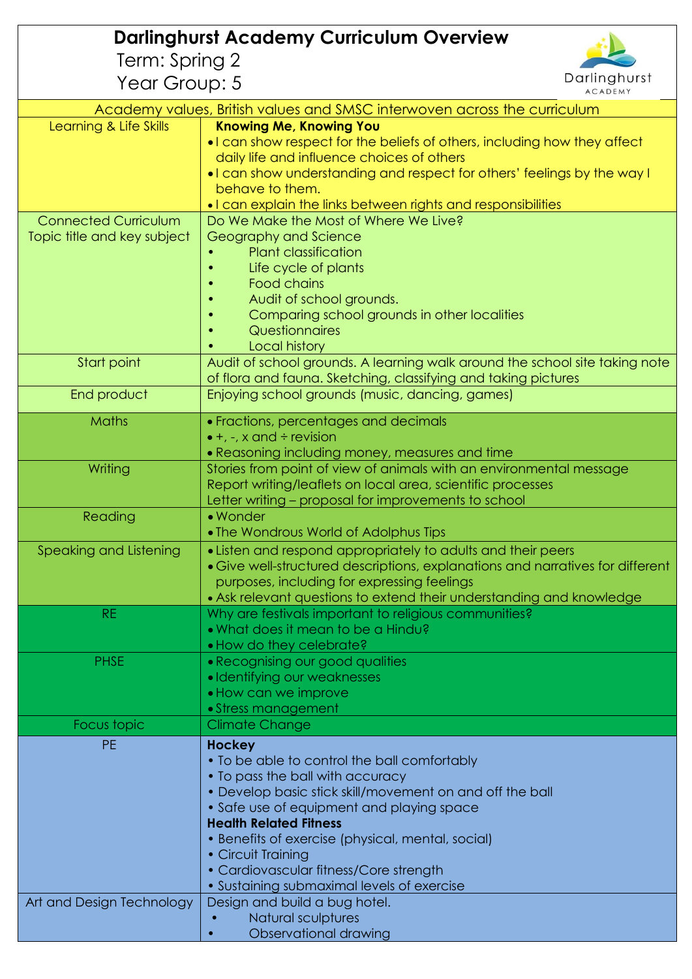| <b>Darlinghurst Academy Curriculum Overview</b>                          |                                                                                                                       |  |
|--------------------------------------------------------------------------|-----------------------------------------------------------------------------------------------------------------------|--|
| Term: Spring 2                                                           |                                                                                                                       |  |
| Year Group: 5                                                            | Darlinghurst<br><b>ACADEMY</b>                                                                                        |  |
| Academy values, British values and SMSC interwoven across the curriculum |                                                                                                                       |  |
| Learning & Life Skills                                                   | <b>Knowing Me, Knowing You</b>                                                                                        |  |
|                                                                          | • I can show respect for the beliefs of others, including how they affect                                             |  |
|                                                                          | daily life and influence choices of others                                                                            |  |
|                                                                          | . I can show understanding and respect for others' feelings by the way I<br>behave to them.                           |  |
|                                                                          | • I can explain the links between rights and responsibilities                                                         |  |
| <b>Connected Curriculum</b>                                              | Do We Make the Most of Where We Live?                                                                                 |  |
| Topic title and key subject                                              | Geography and Science                                                                                                 |  |
|                                                                          | <b>Plant classification</b>                                                                                           |  |
|                                                                          | Life cycle of plants                                                                                                  |  |
|                                                                          | Food chains                                                                                                           |  |
|                                                                          | Audit of school grounds.<br>Comparing school grounds in other localities                                              |  |
|                                                                          | Questionnaires                                                                                                        |  |
|                                                                          | <b>Local history</b>                                                                                                  |  |
| Start point                                                              | Audit of school grounds. A learning walk around the school site taking note                                           |  |
|                                                                          | of flora and fauna. Sketching, classifying and taking pictures                                                        |  |
| End product                                                              | Enjoying school grounds (music, dancing, games)                                                                       |  |
| Maths                                                                    | · Fractions, percentages and decimals                                                                                 |  |
|                                                                          | $\bullet$ +, -, x and ÷ revision                                                                                      |  |
| Writing                                                                  | • Reasoning including money, measures and time<br>Stories from point of view of animals with an environmental message |  |
|                                                                          | Report writing/leaflets on local area, scientific processes                                                           |  |
|                                                                          | Letter writing - proposal for improvements to school                                                                  |  |
| Reading                                                                  | • Wonder                                                                                                              |  |
|                                                                          | • The Wondrous World of Adolphus Tips                                                                                 |  |
| Speaking and Listening                                                   | • Listen and respond appropriately to adults and their peers                                                          |  |
|                                                                          | • Give well-structured descriptions, explanations and narratives for different                                        |  |
|                                                                          | purposes, including for expressing feelings<br>• Ask relevant questions to extend their understanding and knowledge   |  |
| <b>RE</b>                                                                | Why are festivals important to religious communities?                                                                 |  |
|                                                                          | • What does it mean to be a Hindu?                                                                                    |  |
|                                                                          | • How do they celebrate?                                                                                              |  |
| <b>PHSE</b>                                                              | • Recognising our good qualities                                                                                      |  |
|                                                                          | • Identifying our weaknesses                                                                                          |  |
|                                                                          | • How can we improve                                                                                                  |  |
| Focus topic                                                              | • Stress management<br><b>Climate Change</b>                                                                          |  |
| <b>PE</b>                                                                |                                                                                                                       |  |
|                                                                          | <b>Hockey</b><br>• To be able to control the ball comfortably                                                         |  |
|                                                                          | • To pass the ball with accuracy                                                                                      |  |
|                                                                          | • Develop basic stick skill/movement on and off the ball                                                              |  |
|                                                                          | • Safe use of equipment and playing space                                                                             |  |
|                                                                          | <b>Health Related Fitness</b>                                                                                         |  |
|                                                                          | • Benefits of exercise (physical, mental, social)                                                                     |  |
|                                                                          | • Circuit Training                                                                                                    |  |
|                                                                          | • Cardiovascular fitness/Core strength<br>• Sustaining submaximal levels of exercise                                  |  |
| Art and Design Technology                                                | Design and build a bug hotel.                                                                                         |  |
|                                                                          | Natural sculptures                                                                                                    |  |
|                                                                          | Observational drawing                                                                                                 |  |